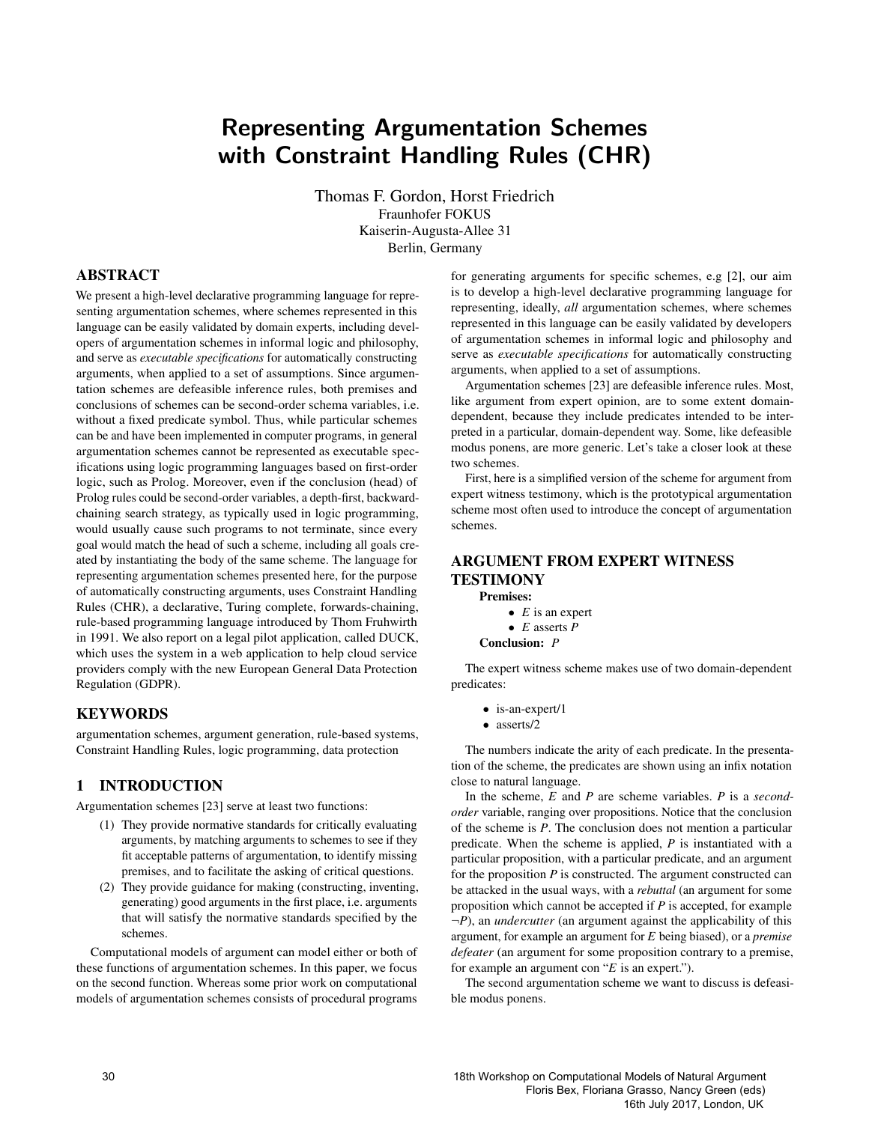# Representing Argumentation Schemes with Constraint Handling Rules (CHR)

Thomas F. Gordon, Horst Friedrich Fraunhofer FOKUS Kaiserin-Augusta-Allee 31 Berlin, Germany

## ABSTRACT

We present a high-level declarative programming language for representing argumentation schemes, where schemes represented in this language can be easily validated by domain experts, including developers of argumentation schemes in informal logic and philosophy, and serve as *executable specifications* for automatically constructing arguments, when applied to a set of assumptions. Since argumentation schemes are defeasible inference rules, both premises and conclusions of schemes can be second-order schema variables, i.e. without a fixed predicate symbol. Thus, while particular schemes can be and have been implemented in computer programs, in general argumentation schemes cannot be represented as executable specifications using logic programming languages based on first-order logic, such as Prolog. Moreover, even if the conclusion (head) of Prolog rules could be second-order variables, a depth-first, backwardchaining search strategy, as typically used in logic programming, would usually cause such programs to not terminate, since every goal would match the head of such a scheme, including all goals created by instantiating the body of the same scheme. The language for representing argumentation schemes presented here, for the purpose of automatically constructing arguments, uses Constraint Handling Rules (CHR), a declarative, Turing complete, forwards-chaining, rule-based programming language introduced by Thom Fruhwirth in 1991. We also report on a legal pilot application, called DUCK, which uses the system in a web application to help cloud service providers comply with the new European General Data Protection Regulation (GDPR).

#### KEYWORDS

argumentation schemes, argument generation, rule-based systems, Constraint Handling Rules, logic programming, data protection

### 1 INTRODUCTION

Argumentation schemes [\[23\]](#page-7-0) serve at least two functions:

- (1) They provide normative standards for critically evaluating arguments, by matching arguments to schemes to see if they fit acceptable patterns of argumentation, to identify missing premises, and to facilitate the asking of critical questions.
- (2) They provide guidance for making (constructing, inventing, generating) good arguments in the first place, i.e. arguments that will satisfy the normative standards specified by the schemes.

Computational models of argument can model either or both of these functions of argumentation schemes. In this paper, we focus on the second function. Whereas some prior work on computational models of argumentation schemes consists of procedural programs

for generating arguments for specific schemes, e.g [\[2\]](#page-7-1), our aim is to develop a high-level declarative programming language for representing, ideally, *all* argumentation schemes, where schemes represented in this language can be easily validated by developers of argumentation schemes in informal logic and philosophy and serve as *executable specifications* for automatically constructing arguments, when applied to a set of assumptions.

Argumentation schemes [\[23\]](#page-7-0) are defeasible inference rules. Most, like argument from expert opinion, are to some extent domaindependent, because they include predicates intended to be interpreted in a particular, domain-dependent way. Some, like defeasible modus ponens, are more generic. Let's take a closer look at these two schemes.

First, here is a simplified version of the scheme for argument from expert witness testimony, which is the prototypical argumentation scheme most often used to introduce the concept of argumentation schemes.

## ARGUMENT FROM EXPERT WITNESS TESTIMONY

Premises:

- *• E* is an expert
- *• E* asserts *P*
- Conclusion: *P*

The expert witness scheme makes use of two domain-dependent predicates:

- *•* is-an-expert/1
- asserts/2

The numbers indicate the arity of each predicate. In the presentation of the scheme, the predicates are shown using an infix notation close to natural language.

In the scheme, *E* and *P* are scheme variables. *P* is a *secondorder* variable, ranging over propositions. Notice that the conclusion of the scheme is *P*. The conclusion does not mention a particular predicate. When the scheme is applied, *P* is instantiated with a particular proposition, with a particular predicate, and an argument for the proposition *P* is constructed. The argument constructed can be attacked in the usual ways, with a *rebuttal* (an argument for some proposition which cannot be accepted if *P* is accepted, for example *¬P*), an *undercutter* (an argument against the applicability of this argument, for example an argument for *E* being biased), or a *premise defeater* (an argument for some proposition contrary to a premise, for example an argument con "*E* is an expert.").

The second argumentation scheme we want to discuss is defeasible modus ponens.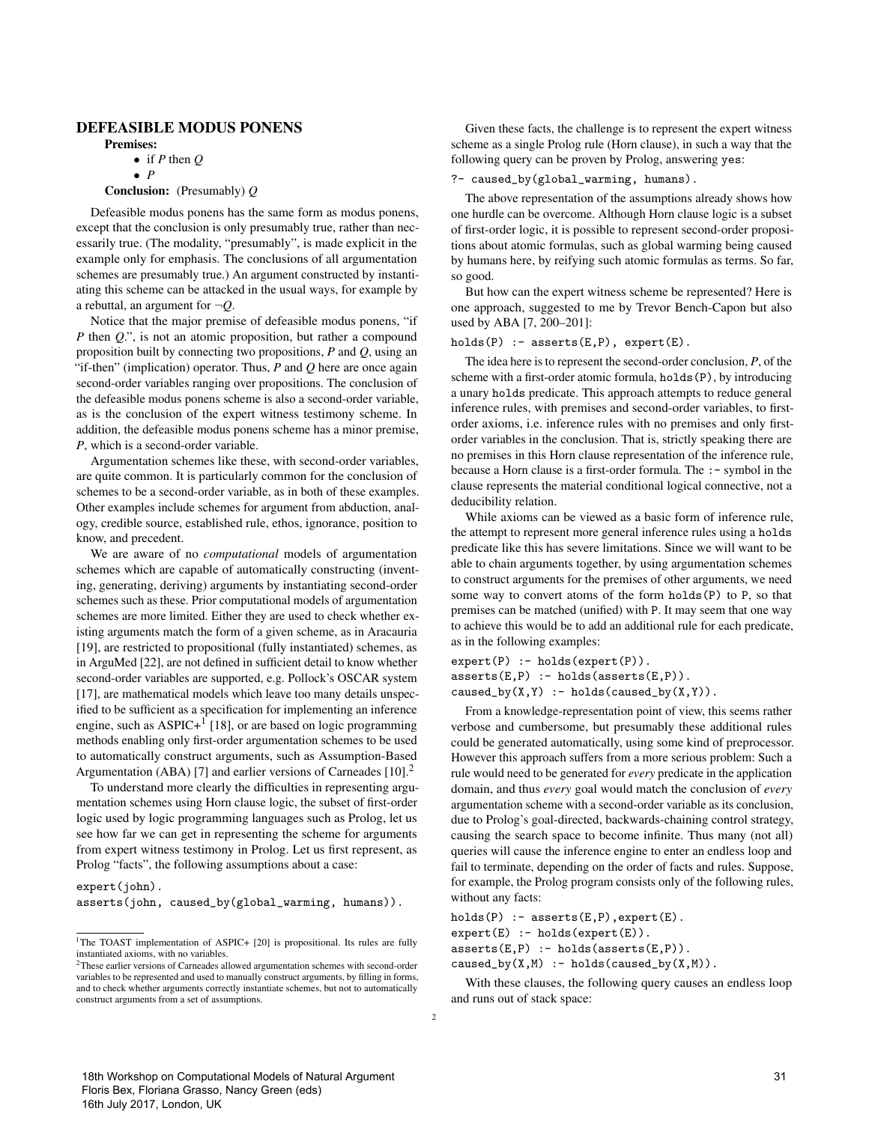### DEFEASIBLE MODUS PONENS

Premises:

```
• if P then Q
```
*• P*

Conclusion: (Presumably) *Q*

Defeasible modus ponens has the same form as modus ponens, except that the conclusion is only presumably true, rather than necessarily true. (The modality, "presumably", is made explicit in the example only for emphasis. The conclusions of all argumentation schemes are presumably true.) An argument constructed by instantiating this scheme can be attacked in the usual ways, for example by a rebuttal, an argument for  $\neg Q$ .

Notice that the major premise of defeasible modus ponens, "if *P* then *Q*.", is not an atomic proposition, but rather a compound proposition built by connecting two propositions, *P* and *Q*, using an "if-then" (implication) operator. Thus, *P* and *Q* here are once again second-order variables ranging over propositions. The conclusion of the defeasible modus ponens scheme is also a second-order variable, as is the conclusion of the expert witness testimony scheme. In addition, the defeasible modus ponens scheme has a minor premise, *P*, which is a second-order variable.

Argumentation schemes like these, with second-order variables, are quite common. It is particularly common for the conclusion of schemes to be a second-order variable, as in both of these examples. Other examples include schemes for argument from abduction, analogy, credible source, established rule, ethos, ignorance, position to know, and precedent.

We are aware of no *computational* models of argumentation schemes which are capable of automatically constructing (inventing, generating, deriving) arguments by instantiating second-order schemes such as these. Prior computational models of argumentation schemes are more limited. Either they are used to check whether existing arguments match the form of a given scheme, as in Aracauria [\[19\]](#page-7-2), are restricted to propositional (fully instantiated) schemes, as in ArguMed [\[22\]](#page-7-3), are not defined in sufficient detail to know whether second-order variables are supported, e.g. Pollock's OSCAR system [\[17\]](#page-7-4), are mathematical models which leave too many details unspecified to be sufficient as a specification for implementing an inference engine, such as  $ASPIC+<sup>1</sup>$  $ASPIC+<sup>1</sup>$  $ASPIC+<sup>1</sup>$  [\[18\]](#page-7-5), or are based on logic programming methods enabling only first-order argumentation schemes to be used to automatically construct arguments, such as Assumption-Based Argumentation (ABA) [\[7\]](#page-7-6) and earlier versions of Carneades [\[10\]](#page-7-7).<sup>[2](#page-1-1)</sup>

To understand more clearly the difficulties in representing argumentation schemes using Horn clause logic, the subset of first-order logic used by logic programming languages such as Prolog, let us see how far we can get in representing the scheme for arguments from expert witness testimony in Prolog. Let us first represent, as Prolog "facts", the following assumptions about a case:

expert(john).

asserts(john, caused\_by(global\_warming, humans)).

Given these facts, the challenge is to represent the expert witness scheme as a single Prolog rule (Horn clause), in such a way that the following query can be proven by Prolog, answering yes:

?- caused\_by(global\_warming, humans).

The above representation of the assumptions already shows how one hurdle can be overcome. Although Horn clause logic is a subset of first-order logic, it is possible to represent second-order propositions about atomic formulas, such as global warming being caused by humans here, by reifying such atomic formulas as terms. So far, so good.

But how can the expert witness scheme be represented? Here is one approach, suggested to me by Trevor Bench-Capon but also used by ABA [\[7,](#page-7-6) 200–201]:

 $holds(P)$  :- asserts $(E, P)$ , expert $(E)$ .

The idea here is to represent the second-order conclusion, *P*, of the scheme with a first-order atomic formula, holds(P), by introducing a unary holds predicate. This approach attempts to reduce general inference rules, with premises and second-order variables, to firstorder axioms, i.e. inference rules with no premises and only firstorder variables in the conclusion. That is, strictly speaking there are no premises in this Horn clause representation of the inference rule, because a Horn clause is a first-order formula. The : – symbol in the clause represents the material conditional logical connective, not a deducibility relation.

While axioms can be viewed as a basic form of inference rule, the attempt to represent more general inference rules using a holds predicate like this has severe limitations. Since we will want to be able to chain arguments together, by using argumentation schemes to construct arguments for the premises of other arguments, we need some way to convert atoms of the form holds(P) to P, so that premises can be matched (unified) with P. It may seem that one way to achieve this would be to add an additional rule for each predicate, as in the following examples:

expert(P) :- holds(expert(P)).  $asserts(E,P)$  :- holds(asserts $(E,P)$ ).  $caused_by(X,Y) :- holds(caused_by(X,Y)).$ 

From a knowledge-representation point of view, this seems rather verbose and cumbersome, but presumably these additional rules could be generated automatically, using some kind of preprocessor. However this approach suffers from a more serious problem: Such a rule would need to be generated for *every* predicate in the application domain, and thus *every* goal would match the conclusion of *every* argumentation scheme with a second-order variable as its conclusion, due to Prolog's goal-directed, backwards-chaining control strategy, causing the search space to become infinite. Thus many (not all) queries will cause the inference engine to enter an endless loop and fail to terminate, depending on the order of facts and rules. Suppose, for example, the Prolog program consists only of the following rules, without any facts:

```
holds(P) :- asserts(E, P), expert(E).
expert(E) :- holds(expert(E)).asserts(E,P) :- holds(asserts(E,P)).
caused_by(X,M) :- holds(caused_by(X,M)).
```
2

With these clauses, the following query causes an endless loop and runs out of stack space:

<span id="page-1-0"></span><sup>&</sup>lt;sup>1</sup>The TOAST implementation of ASPIC+ [\[20\]](#page-7-8) is propositional. Its rules are fully instantiated axioms, with no variables.

<span id="page-1-1"></span><sup>2</sup>These earlier versions of Carneades allowed argumentation schemes with second-order variables to be represented and used to manually construct arguments, by filling in forms, and to check whether arguments correctly instantiate schemes, but not to automatically construct arguments from a set of assumptions.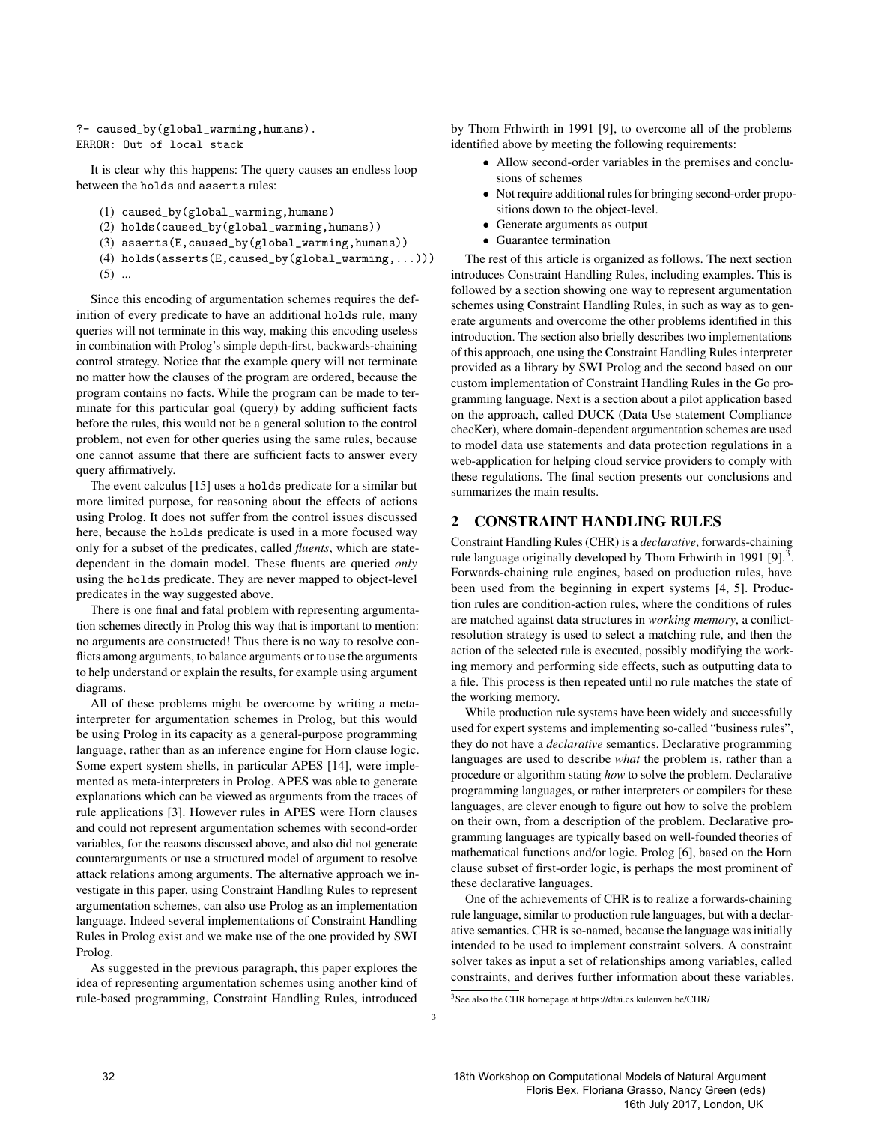```
?- caused_by(global_warming,humans).
ERROR: Out of local stack
```
It is clear why this happens: The query causes an endless loop between the holds and asserts rules:

```
(1) caused_by(global_warming,humans)
```

```
(2) holds(caused_by(global_warming,humans))
```

```
(3) asserts(E,caused_by(global_warming,humans))
```

```
(4) holds(asserts(E,caused_by(global_warming,...)))
```
 $(5)$  ...

Since this encoding of argumentation schemes requires the definition of every predicate to have an additional holds rule, many queries will not terminate in this way, making this encoding useless in combination with Prolog's simple depth-first, backwards-chaining control strategy. Notice that the example query will not terminate no matter how the clauses of the program are ordered, because the program contains no facts. While the program can be made to terminate for this particular goal (query) by adding sufficient facts before the rules, this would not be a general solution to the control problem, not even for other queries using the same rules, because one cannot assume that there are sufficient facts to answer every query affirmatively.

The event calculus [\[15\]](#page-7-9) uses a holds predicate for a similar but more limited purpose, for reasoning about the effects of actions using Prolog. It does not suffer from the control issues discussed here, because the holds predicate is used in a more focused way only for a subset of the predicates, called *fluents*, which are statedependent in the domain model. These fluents are queried *only* using the holds predicate. They are never mapped to object-level predicates in the way suggested above.

There is one final and fatal problem with representing argumentation schemes directly in Prolog this way that is important to mention: no arguments are constructed! Thus there is no way to resolve conflicts among arguments, to balance arguments or to use the arguments to help understand or explain the results, for example using argument diagrams.

All of these problems might be overcome by writing a metainterpreter for argumentation schemes in Prolog, but this would be using Prolog in its capacity as a general-purpose programming language, rather than as an inference engine for Horn clause logic. Some expert system shells, in particular APES [\[14\]](#page-7-10), were implemented as meta-interpreters in Prolog. APES was able to generate explanations which can be viewed as arguments from the traces of rule applications [\[3\]](#page-7-11). However rules in APES were Horn clauses and could not represent argumentation schemes with second-order variables, for the reasons discussed above, and also did not generate counterarguments or use a structured model of argument to resolve attack relations among arguments. The alternative approach we investigate in this paper, using Constraint Handling Rules to represent argumentation schemes, can also use Prolog as an implementation language. Indeed several implementations of Constraint Handling Rules in Prolog exist and we make use of the one provided by SWI Prolog.

As suggested in the previous paragraph, this paper explores the idea of representing argumentation schemes using another kind of rule-based programming, Constraint Handling Rules, introduced by Thom Frhwirth in 1991 [\[9\]](#page-7-12), to overcome all of the problems identified above by meeting the following requirements:

- *•* Allow second-order variables in the premises and conclusions of schemes
- *•* Not require additional rules for bringing second-order propositions down to the object-level.
- *•* Generate arguments as output
- *•* Guarantee termination

The rest of this article is organized as follows. The next section introduces Constraint Handling Rules, including examples. This is followed by a section showing one way to represent argumentation schemes using Constraint Handling Rules, in such as way as to generate arguments and overcome the other problems identified in this introduction. The section also briefly describes two implementations of this approach, one using the Constraint Handling Rules interpreter provided as a library by SWI Prolog and the second based on our custom implementation of Constraint Handling Rules in the Go programming language. Next is a section about a pilot application based on the approach, called DUCK (Data Use statement Compliance checKer), where domain-dependent argumentation schemes are used to model data use statements and data protection regulations in a web-application for helping cloud service providers to comply with these regulations. The final section presents our conclusions and summarizes the main results.

## 2 CONSTRAINT HANDLING RULES

Constraint Handling Rules (CHR) is a *declarative*, forwards-chaining rule language originally developed by Thom Frhwirth in 1991 [\[9\]](#page-7-12).<sup>3</sup>. Forwards-chaining rule engines, based on production rules, have been used from the beginning in expert systems [\[4,](#page-7-13) [5\]](#page-7-14). Production rules are condition-action rules, where the conditions of rules are matched against data structures in *working memory*, a conflictresolution strategy is used to select a matching rule, and then the action of the selected rule is executed, possibly modifying the working memory and performing side effects, such as outputting data to a file. This process is then repeated until no rule matches the state of the working memory.

While production rule systems have been widely and successfully used for expert systems and implementing so-called "business rules", they do not have a *declarative* semantics. Declarative programming languages are used to describe *what* the problem is, rather than a procedure or algorithm stating *how* to solve the problem. Declarative programming languages, or rather interpreters or compilers for these languages, are clever enough to figure out how to solve the problem on their own, from a description of the problem. Declarative programming languages are typically based on well-founded theories of mathematical functions and/or logic. Prolog [\[6\]](#page-7-15), based on the Horn clause subset of first-order logic, is perhaps the most prominent of these declarative languages.

One of the achievements of CHR is to realize a forwards-chaining rule language, similar to production rule languages, but with a declarative semantics. CHR is so-named, because the language was initially intended to be used to implement constraint solvers. A constraint solver takes as input a set of relationships among variables, called constraints, and derives further information about these variables.

<span id="page-2-0"></span><sup>3</sup>See also the CHR homepage at<https://dtai.cs.kuleuven.be/CHR/>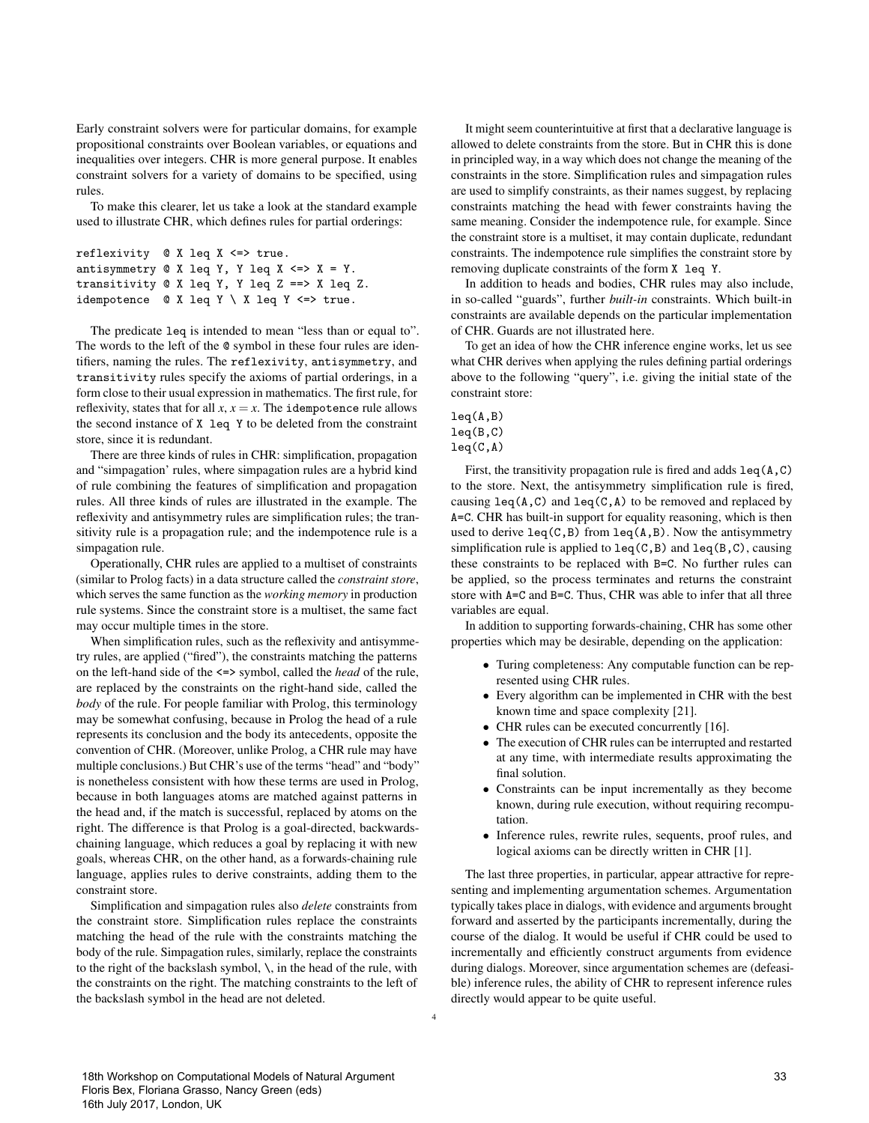Early constraint solvers were for particular domains, for example propositional constraints over Boolean variables, or equations and inequalities over integers. CHR is more general purpose. It enables constraint solvers for a variety of domains to be specified, using rules.

To make this clearer, let us take a look at the standard example used to illustrate CHR, which defines rules for partial orderings:

```
reflexivity @ X \text{ leq } X \iff \text{true}.antisymmetry Q X \text{ leg } Y, Y \text{ leg } X \le Y.
transitivity @ X leq Y, Y leq Z ==> X leq Z.
idempotence Q X \leq Y \setminus X leq Y \leq Y true.
```
The predicate leq is intended to mean "less than or equal to". The words to the left of the @ symbol in these four rules are identifiers, naming the rules. The reflexivity, antisymmetry, and transitivity rules specify the axioms of partial orderings, in a form close to their usual expression in mathematics. The first rule, for reflexivity, states that for all  $x, x = x$ . The idempotence rule allows the second instance of X leq Y to be deleted from the constraint store, since it is redundant.

There are three kinds of rules in CHR: simplification, propagation and "simpagation' rules, where simpagation rules are a hybrid kind of rule combining the features of simplification and propagation rules. All three kinds of rules are illustrated in the example. The reflexivity and antisymmetry rules are simplification rules; the transitivity rule is a propagation rule; and the indempotence rule is a simpagation rule.

Operationally, CHR rules are applied to a multiset of constraints (similar to Prolog facts) in a data structure called the *constraint store*, which serves the same function as the *working memory* in production rule systems. Since the constraint store is a multiset, the same fact may occur multiple times in the store.

When simplification rules, such as the reflexivity and antisymmetry rules, are applied ("fired"), the constraints matching the patterns on the left-hand side of the <=> symbol, called the *head* of the rule, are replaced by the constraints on the right-hand side, called the *body* of the rule. For people familiar with Prolog, this terminology may be somewhat confusing, because in Prolog the head of a rule represents its conclusion and the body its antecedents, opposite the convention of CHR. (Moreover, unlike Prolog, a CHR rule may have multiple conclusions.) But CHR's use of the terms "head" and "body" is nonetheless consistent with how these terms are used in Prolog, because in both languages atoms are matched against patterns in the head and, if the match is successful, replaced by atoms on the right. The difference is that Prolog is a goal-directed, backwardschaining language, which reduces a goal by replacing it with new goals, whereas CHR, on the other hand, as a forwards-chaining rule language, applies rules to derive constraints, adding them to the constraint store.

Simplification and simpagation rules also *delete* constraints from the constraint store. Simplification rules replace the constraints matching the head of the rule with the constraints matching the body of the rule. Simpagation rules, similarly, replace the constraints to the right of the backslash symbol, \, in the head of the rule, with the constraints on the right. The matching constraints to the left of the backslash symbol in the head are not deleted.

It might seem counterintuitive at first that a declarative language is allowed to delete constraints from the store. But in CHR this is done in principled way, in a way which does not change the meaning of the constraints in the store. Simplification rules and simpagation rules are used to simplify constraints, as their names suggest, by replacing constraints matching the head with fewer constraints having the same meaning. Consider the indempotence rule, for example. Since the constraint store is a multiset, it may contain duplicate, redundant constraints. The indempotence rule simplifies the constraint store by removing duplicate constraints of the form X leq Y.

In addition to heads and bodies, CHR rules may also include, in so-called "guards", further *built-in* constraints. Which built-in constraints are available depends on the particular implementation of CHR. Guards are not illustrated here.

To get an idea of how the CHR inference engine works, let us see what CHR derives when applying the rules defining partial orderings above to the following "query", i.e. giving the initial state of the constraint store:

#### $leq(A,B)$ leq(B,C) leq(C,A)

4

First, the transitivity propagation rule is fired and adds leq(A,C) to the store. Next, the antisymmetry simplification rule is fired, causing  $leq(A,C)$  and  $leq(C,A)$  to be removed and replaced by A=C. CHR has built-in support for equality reasoning, which is then used to derive  $leq(C,B)$  from  $leq(A,B)$ . Now the antisymmetry simplification rule is applied to  $leq(C, B)$  and  $leq(C, C)$ , causing these constraints to be replaced with B=C. No further rules can be applied, so the process terminates and returns the constraint store with A=C and B=C. Thus, CHR was able to infer that all three variables are equal.

In addition to supporting forwards-chaining, CHR has some other properties which may be desirable, depending on the application:

- *•* Turing completeness: Any computable function can be represented using CHR rules.
- *•* Every algorithm can be implemented in CHR with the best known time and space complexity [\[21\]](#page-7-16).
- CHR rules can be executed concurrently [\[16\]](#page-7-17).
- *•* The execution of CHR rules can be interrupted and restarted at any time, with intermediate results approximating the final solution.
- *•* Constraints can be input incrementally as they become known, during rule execution, without requiring recomputation.
- *•* Inference rules, rewrite rules, sequents, proof rules, and logical axioms can be directly written in CHR [\[1\]](#page-7-18).

The last three properties, in particular, appear attractive for representing and implementing argumentation schemes. Argumentation typically takes place in dialogs, with evidence and arguments brought forward and asserted by the participants incrementally, during the course of the dialog. It would be useful if CHR could be used to incrementally and efficiently construct arguments from evidence during dialogs. Moreover, since argumentation schemes are (defeasible) inference rules, the ability of CHR to represent inference rules directly would appear to be quite useful.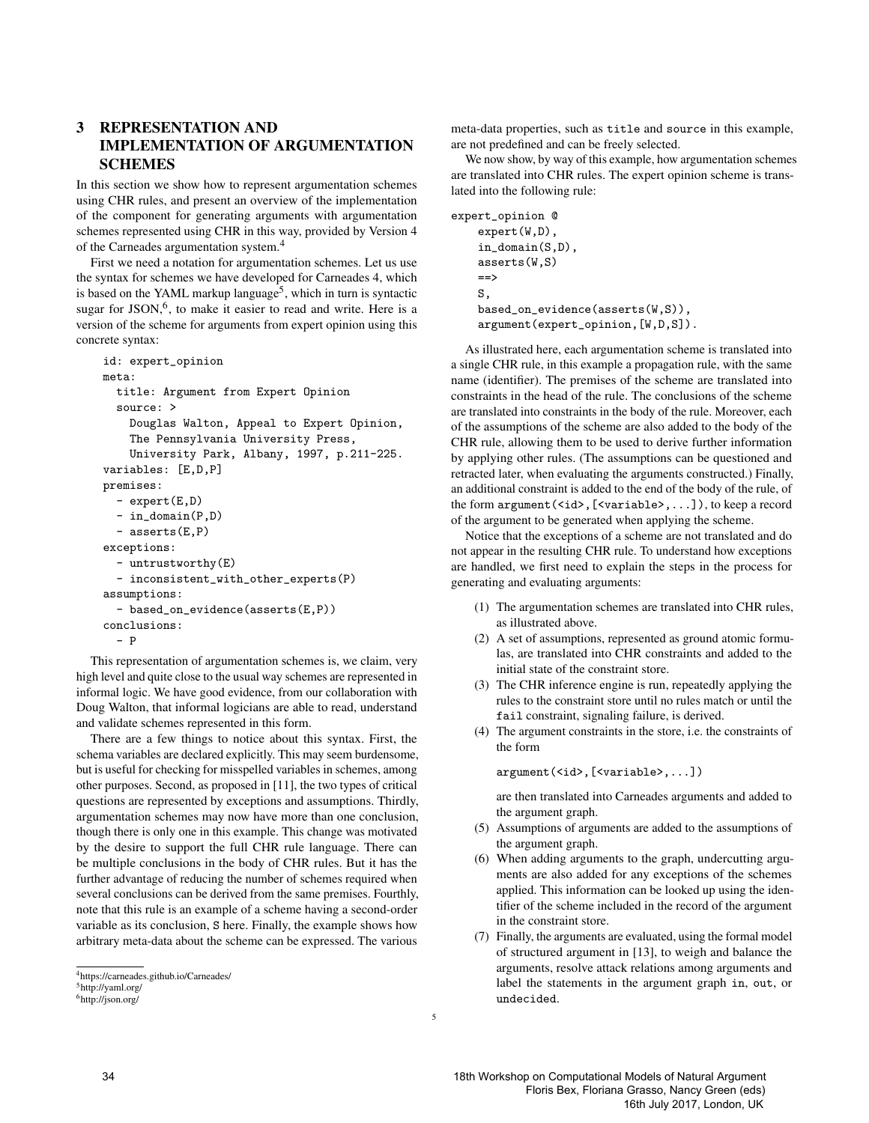## 3 REPRESENTATION AND IMPLEMENTATION OF ARGUMENTATION **SCHEMES**

In this section we show how to represent argumentation schemes using CHR rules, and present an overview of the implementation of the component for generating arguments with argumentation schemes represented using CHR in this way, provided by Version 4 of the Carneades argumentation system.[4](#page-4-0)

First we need a notation for argumentation schemes. Let us use the syntax for schemes we have developed for Carneades 4, which is based on the YAML markup language<sup>5</sup>, which in turn is syntactic sugar for JSON, $6$ , to make it easier to read and write. Here is a version of the scheme for arguments from expert opinion using this concrete syntax:

```
id: expert_opinion
meta:
  title: Argument from Expert Opinion
  source: >
    Douglas Walton, Appeal to Expert Opinion,
    The Pennsylvania University Press,
    University Park, Albany, 1997, p.211-225.
variables: [E,D,P]
premises:
  - expert(E,D)
  - in_domain(P,D)
  - asserts(E,P)
exceptions:
  - untrustworthy(E)
  - inconsistent_with_other_experts(P)
assumptions:
  - based_on_evidence(asserts(E,P))
conclusions:
  - P
```
This representation of argumentation schemes is, we claim, very high level and quite close to the usual way schemes are represented in informal logic. We have good evidence, from our collaboration with Doug Walton, that informal logicians are able to read, understand and validate schemes represented in this form.

There are a few things to notice about this syntax. First, the schema variables are declared explicitly. This may seem burdensome, but is useful for checking for misspelled variables in schemes, among other purposes. Second, as proposed in [\[11\]](#page-7-19), the two types of critical questions are represented by exceptions and assumptions. Thirdly, argumentation schemes may now have more than one conclusion, though there is only one in this example. This change was motivated by the desire to support the full CHR rule language. There can be multiple conclusions in the body of CHR rules. But it has the further advantage of reducing the number of schemes required when several conclusions can be derived from the same premises. Fourthly, note that this rule is an example of a scheme having a second-order variable as its conclusion, S here. Finally, the example shows how arbitrary meta-data about the scheme can be expressed. The various

meta-data properties, such as title and source in this example, are not predefined and can be freely selected.

We now show, by way of this example, how argumentation schemes are translated into CHR rules. The expert opinion scheme is translated into the following rule:

```
expert_opinion @
    expert(W,D),
    in_domain(S,D),
    asserts(W,S)
    ==>
    S,
    based_on_evidence(asserts(W,S)),
    argument(expert_opinion,[W,D,S]).
```
As illustrated here, each argumentation scheme is translated into a single CHR rule, in this example a propagation rule, with the same name (identifier). The premises of the scheme are translated into constraints in the head of the rule. The conclusions of the scheme are translated into constraints in the body of the rule. Moreover, each of the assumptions of the scheme are also added to the body of the CHR rule, allowing them to be used to derive further information by applying other rules. (The assumptions can be questioned and retracted later, when evaluating the arguments constructed.) Finally, an additional constraint is added to the end of the body of the rule, of the form argument(<id>,[<variable>,...]), to keep a record of the argument to be generated when applying the scheme.

Notice that the exceptions of a scheme are not translated and do not appear in the resulting CHR rule. To understand how exceptions are handled, we first need to explain the steps in the process for generating and evaluating arguments:

- (1) The argumentation schemes are translated into CHR rules, as illustrated above.
- (2) A set of assumptions, represented as ground atomic formulas, are translated into CHR constraints and added to the initial state of the constraint store.
- (3) The CHR inference engine is run, repeatedly applying the rules to the constraint store until no rules match or until the fail constraint, signaling failure, is derived.
- (4) The argument constraints in the store, i.e. the constraints of the form

argument(<id>,[<variable>,...])

are then translated into Carneades arguments and added to the argument graph.

- (5) Assumptions of arguments are added to the assumptions of the argument graph.
- (6) When adding arguments to the graph, undercutting arguments are also added for any exceptions of the schemes applied. This information can be looked up using the identifier of the scheme included in the record of the argument in the constraint store.
- (7) Finally, the arguments are evaluated, using the formal model of structured argument in [\[13\]](#page-7-20), to weigh and balance the arguments, resolve attack relations among arguments and label the statements in the argument graph in, out, or undecided.

<span id="page-4-0"></span>[<sup>4</sup>https://carneades.github.io/Carneades/](https://carneades.github.io/Carneades/)

<span id="page-4-1"></span>[<sup>5</sup>http://yaml.org/](http://yaml.org/)

<span id="page-4-2"></span><sup>6</sup>http://json.org/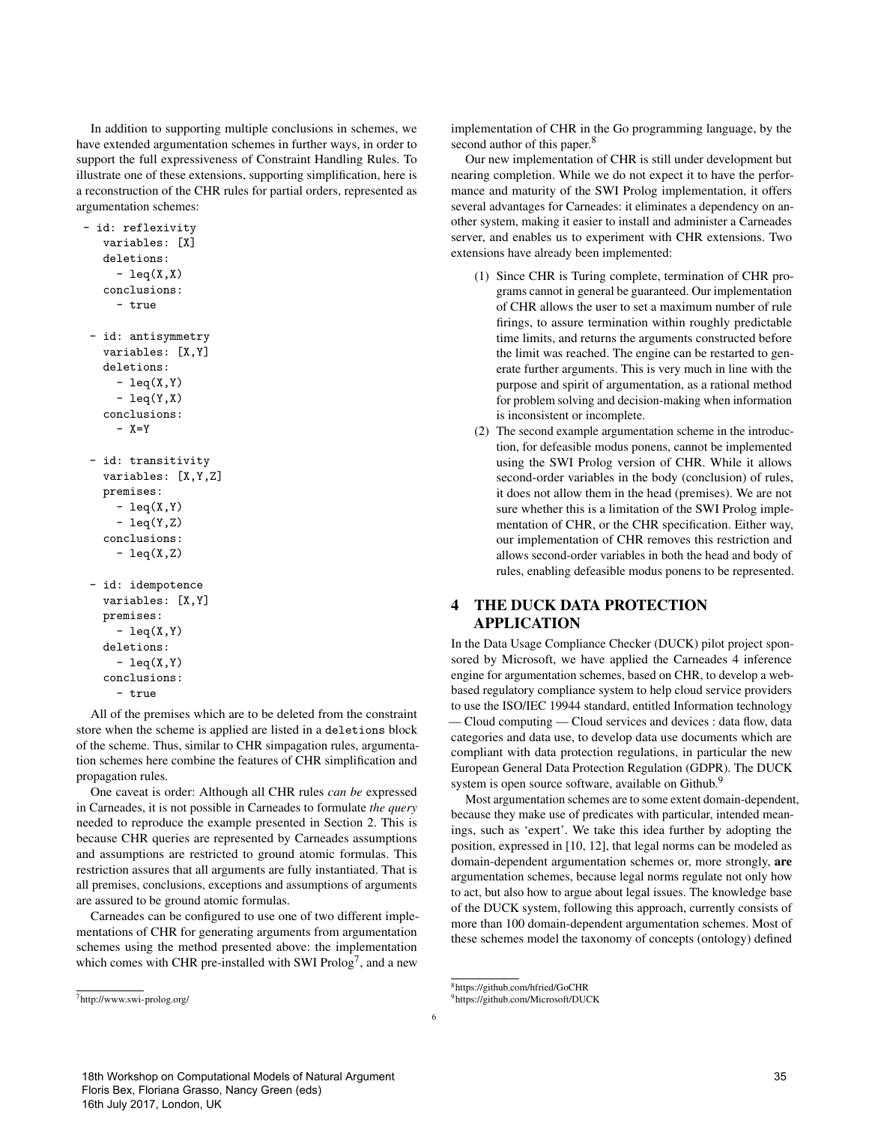In addition to supporting multiple conclusions in schemes, we have extended argumentation schemes in further ways, in order to support the full expressiveness of Constraint Handling Rules. To illustrate one of these extensions, supporting simplification, here is a reconstruction of the CHR rules for partial orders, represented as argumentation schemes:

```
- id: reflexivity
   variables: [X]
   deletions:
     - leq(X,X)
   conclusions:
     - true
 - id: antisymmetry
   variables: [X,Y]
   deletions:
     - leq(X,Y)
     - leq(Y,X)
   conclusions:
     - X = Y- id: transitivity
   variables: [X,Y,Z]
   premises:
     - leq(X,Y)
     - leq(Y,Z)
   conclusions:
     - leq(X,Z)
 - id: idempotence
   variables: [X,Y]
   premises:
     - leq(X,Y)
   deletions:
     - leq(X,Y)
   conclusions:
     - true
```
All of the premises which are to be deleted from the constraint store when the scheme is applied are listed in a deletions block of the scheme. Thus, similar to CHR simpagation rules, argumentation schemes here combine the features of CHR simplification and propagation rules.

One caveat is order: Although all CHR rules *can be* expressed in Carneades, it is not possible in Carneades to formulate *the query* needed to reproduce the example presented in Section 2. This is because CHR queries are represented by Carneades assumptions and assumptions are restricted to ground atomic formulas. This restriction assures that all arguments are fully instantiated. That is all premises, conclusions, exceptions and assumptions of arguments are assured to be ground atomic formulas.

Carneades can be configured to use one of two different implementations of CHR for generating arguments from argumentation schemes using the method presented above: the implementation which comes with CHR pre-installed with SWI Prolog<sup>7</sup>, and a new

implementation of CHR in the Go programming language, by the second author of this paper.<sup>8</sup>

Our new implementation of CHR is still under development but nearing completion. While we do not expect it to have the performance and maturity of the SWI Prolog implementation, it offers several advantages for Carneades: it eliminates a dependency on another system, making it easier to install and administer a Carneades server, and enables us to experiment with CHR extensions. Two extensions have already been implemented:

- (1) Since CHR is Turing complete, termination of CHR programs cannot in general be guaranteed. Our implementation of CHR allows the user to set a maximum number of rule firings, to assure termination within roughly predictable time limits, and returns the arguments constructed before the limit was reached. The engine can be restarted to generate further arguments. This is very much in line with the purpose and spirit of argumentation, as a rational method for problem solving and decision-making when information is inconsistent or incomplete.
- (2) The second example argumentation scheme in the introduction, for defeasible modus ponens, cannot be implemented using the SWI Prolog version of CHR. While it allows second-order variables in the body (conclusion) of rules, it does not allow them in the head (premises). We are not sure whether this is a limitation of the SWI Prolog implementation of CHR, or the CHR specification. Either way, our implementation of CHR removes this restriction and allows second-order variables in both the head and body of rules, enabling defeasible modus ponens to be represented.

## 4 THE DUCK DATA PROTECTION APPLICATION

In the Data Usage Compliance Checker (DUCK) pilot project sponsored by Microsoft, we have applied the Carneades 4 inference engine for argumentation schemes, based on CHR, to develop a webbased regulatory compliance system to help cloud service providers to use the ISO/IEC 19944 standard, entitled Information technology — Cloud computing — Cloud services and devices : data flow, data categories and data use, to develop data use documents which are compliant with data protection regulations, in particular the new European General Data Protection Regulation (GDPR). The DUCK system is open source software, available on Github.<sup>9</sup>

Most argumentation schemes are to some extent domain-dependent, because they make use of predicates with particular, intended meanings, such as 'expert'. We take this idea further by adopting the position, expressed in [10, 12], that legal norms can be modeled as domain-dependent argumentation schemes or, more strongly, are argumentation schemes, because legal norms regulate not only how to act, but also how to argue about legal issues. The knowledge base of the DUCK system, following this approach, currently consists of more than 100 domain-dependent argumentation schemes. Most of these schemes model the taxonomy of concepts (ontology) defined

6

<sup>7</sup>http://www.swi-prolog.org/

<sup>8</sup>https://github.com/hfried/GoCHR

<sup>9</sup>https://github.com/Microsoft/DUCK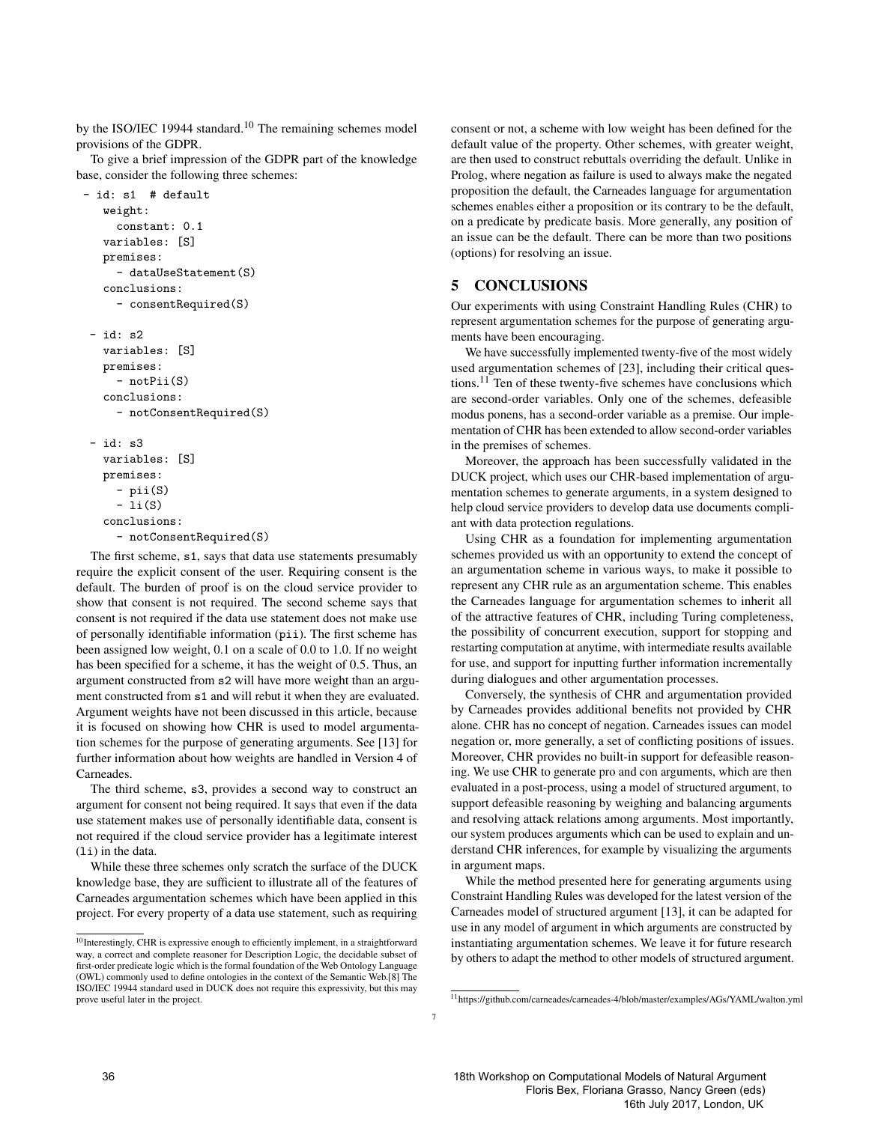by the ISO/IEC 19944 standard.<sup>10</sup> The remaining schemes model provisions of the GDPR.

To give a brief impression of the GDPR part of the knowledge base, consider the following three schemes:

```
- id: s1 # default
  weight:
     constant: 0.1
  variables: [S]
  premises:
     - dataUseStatement(S)
  conclusions:
     - consentRequired(S)
- id: s2
  variables: [S]
  premises:
     - notPii(S)
  conclusions:
     - notConsentRequired(S)
- id: s3
  variables: [S]
  premises:
     - pii(S)
     - li(S)
  conclusions:
     - notConsentRequired(S)
```
The first scheme, s1, says that data use statements presumably require the explicit consent of the user. Requiring consent is the default. The burden of proof is on the cloud service provider to show that consent is not required. The second scheme says that consent is not required if the data use statement does not make use of personally identifiable information (pii). The first scheme has been assigned low weight, 0.1 on a scale of 0.0 to 1.0. If no weight has been specified for a scheme, it has the weight of 0.5. Thus, an argument constructed from s2 will have more weight than an argument constructed from s1 and will rebut it when they are evaluated. Argument weights have not been discussed in this article, because it is focused on showing how CHR is used to model argumentation schemes for the purpose of generating arguments. See [13] for further information about how weights are handled in Version 4 of Carneades.

The third scheme, s3, provides a second way to construct an argument for consent not being required. It says that even if the data use statement makes use of personally identifiable data, consent is not required if the cloud service provider has a legitimate interest (li) in the data.

While these three schemes only scratch the surface of the DUCK knowledge base, they are sufficient to illustrate all of the features of Carneades argumentation schemes which have been applied in this project. For every property of a data use statement, such as requiring

consent or not, a scheme with low weight has been defined for the default value of the property. Other schemes, with greater weight, are then used to construct rebuttals overriding the default. Unlike in Prolog, where negation as failure is used to always make the negated proposition the default, the Carneades language for argumentation schemes enables either a proposition or its contrary to be the default, on a predicate by predicate basis. More generally, any position of an issue can be the default. There can be more than two positions (options) for resolving an issue.

## 5 CONCLUSIONS

Our experiments with using Constraint Handling Rules (CHR) to represent argumentation schemes for the purpose of generating arguments have been encouraging.

We have successfully implemented twenty-five of the most widely used argumentation schemes of [23], including their critical questions.<sup>11</sup> Ten of these twenty-five schemes have conclusions which are second-order variables. Only one of the schemes, defeasible modus ponens, has a second-order variable as a premise. Our implementation of CHR has been extended to allow second-order variables in the premises of schemes.

Moreover, the approach has been successfully validated in the DUCK project, which uses our CHR-based implementation of argumentation schemes to generate arguments, in a system designed to help cloud service providers to develop data use documents compliant with data protection regulations.

Using CHR as a foundation for implementing argumentation schemes provided us with an opportunity to extend the concept of an argumentation scheme in various ways, to make it possible to represent any CHR rule as an argumentation scheme. This enables the Carneades language for argumentation schemes to inherit all of the attractive features of CHR, including Turing completeness, the possibility of concurrent execution, support for stopping and restarting computation at anytime, with intermediate results available for use, and support for inputting further information incrementally during dialogues and other argumentation processes.

Conversely, the synthesis of CHR and argumentation provided by Carneades provides additional benefits not provided by CHR alone. CHR has no concept of negation. Carneades issues can model negation or, more generally, a set of conflicting positions of issues. Moreover, CHR provides no built-in support for defeasible reasoning. We use CHR to generate pro and con arguments, which are then evaluated in a post-process, using a model of structured argument, to support defeasible reasoning by weighing and balancing arguments and resolving attack relations among arguments. Most importantly, our system produces arguments which can be used to explain and understand CHR inferences, for example by visualizing the arguments in argument maps.

While the method presented here for generating arguments using Constraint Handling Rules was developed for the latest version of the Carneades model of structured argument [13], it can be adapted for use in any model of argument in which arguments are constructed by instantiating argumentation schemes. We leave it for future research by others to adapt the method to other models of structured argument.

 $10$ Interestingly, CHR is expressive enough to efficiently implement, in a straightforward way, a correct and complete reasoner for Description Logic, the decidable subset of first-order predicate logic which is the formal foundation of the Web Ontology Language (OWL) commonly used to define ontologies in the context of the Semantic Web.[8] The ISO/IEC 19944 standard used in DUCK does not require this expressivity, but this may prove useful later in the project.

<sup>11</sup>https://github.com/carneades/carneades-4/blob/master/examples/AGs/YAML/walton.yml